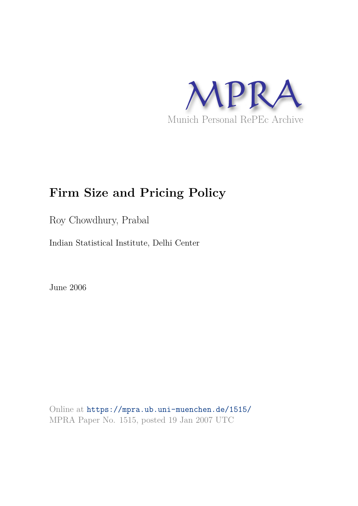

# **Firm Size and Pricing Policy**

Roy Chowdhury, Prabal

Indian Statistical Institute, Delhi Center

June 2006

Online at https://mpra.ub.uni-muenchen.de/1515/ MPRA Paper No. 1515, posted 19 Jan 2007 UTC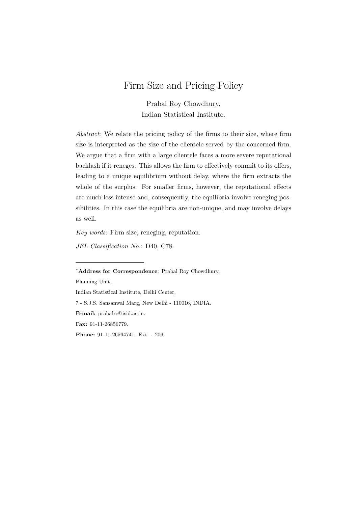# Firm Size and Pricing Policy

Prabal Roy Chowdhury, Indian Statistical Institute.

Abstract: We relate the pricing policy of the firms to their size, where firm size is interpreted as the size of the clientele served by the concerned firm. We argue that a firm with a large clientele faces a more severe reputational backlash if it reneges. This allows the firm to effectively commit to its offers, leading to a unique equilibrium without delay, where the firm extracts the whole of the surplus. For smaller firms, however, the reputational effects are much less intense and, consequently, the equilibria involve reneging possibilities. In this case the equilibria are non-unique, and may involve delays as well.

Key words: Firm size, reneging, reputation.

JEL Classification No.: D40, C78.

Planning Unit,

```
Indian Statistical Institute, Delhi Center,
```
7 - S.J.S. Sansanwal Marg, New Delhi - 110016, INDIA.

E-mail: prabalrc@isid.ac.in.

Fax: 91-11-26856779.

Phone: 91-11-26564741. Ext. - 206.

<sup>∗</sup>Address for Correspondence: Prabal Roy Chowdhury,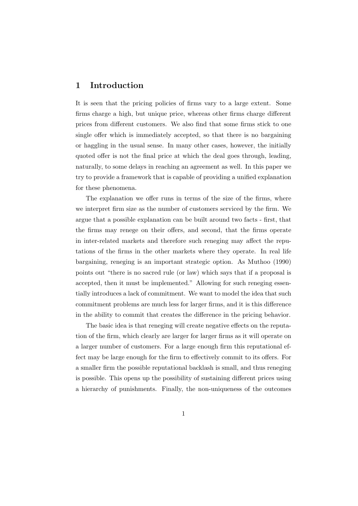### 1 Introduction

It is seen that the pricing policies of firms vary to a large extent. Some firms charge a high, but unique price, whereas other firms charge different prices from different customers. We also find that some firms stick to one single offer which is immediately accepted, so that there is no bargaining or haggling in the usual sense. In many other cases, however, the initially quoted offer is not the final price at which the deal goes through, leading, naturally, to some delays in reaching an agreement as well. In this paper we try to provide a framework that is capable of providing a unified explanation for these phenomena.

The explanation we offer runs in terms of the size of the firms, where we interpret firm size as the number of customers serviced by the firm. We argue that a possible explanation can be built around two facts - first, that the firms may renege on their offers, and second, that the firms operate in inter-related markets and therefore such reneging may affect the reputations of the firms in the other markets where they operate. In real life bargaining, reneging is an important strategic option. As Muthoo (1990) points out "there is no sacred rule (or law) which says that if a proposal is accepted, then it must be implemented." Allowing for such reneging essentially introduces a lack of commitment. We want to model the idea that such commitment problems are much less for larger firms, and it is this difference in the ability to commit that creates the difference in the pricing behavior.

The basic idea is that reneging will create negative effects on the reputation of the firm, which clearly are larger for larger firms as it will operate on a larger number of customers. For a large enough firm this reputational effect may be large enough for the firm to effectively commit to its offers. For a smaller firm the possible reputational backlash is small, and thus reneging is possible. This opens up the possibility of sustaining different prices using a hierarchy of punishments. Finally, the non-uniqueness of the outcomes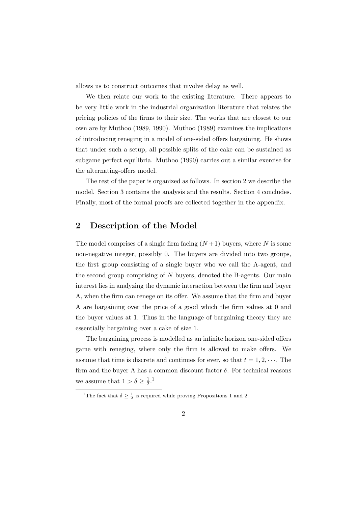allows us to construct outcomes that involve delay as well.

We then relate our work to the existing literature. There appears to be very little work in the industrial organization literature that relates the pricing policies of the firms to their size. The works that are closest to our own are by Muthoo (1989, 1990). Muthoo (1989) examines the implications of introducing reneging in a model of one-sided offers bargaining. He shows that under such a setup, all possible splits of the cake can be sustained as subgame perfect equilibria. Muthoo (1990) carries out a similar exercise for the alternating-offers model.

The rest of the paper is organized as follows. In section 2 we describe the model. Section 3 contains the analysis and the results. Section 4 concludes. Finally, most of the formal proofs are collected together in the appendix.

## 2 Description of the Model

The model comprises of a single firm facing  $(N+1)$  buyers, where N is some non-negative integer, possibly 0. The buyers are divided into two groups, the first group consisting of a single buyer who we call the A-agent, and the second group comprising of  $N$  buyers, denoted the B-agents. Our main interest lies in analyzing the dynamic interaction between the firm and buyer A, when the firm can renege on its offer. We assume that the firm and buyer A are bargaining over the price of a good which the firm values at 0 and the buyer values at 1. Thus in the language of bargaining theory they are essentially bargaining over a cake of size 1.

The bargaining process is modelled as an infinite horizon one-sided offers game with reneging, where only the firm is allowed to make offers. We assume that time is discrete and continues for ever, so that  $t = 1, 2, \cdots$ . The firm and the buyer A has a common discount factor  $\delta$ . For technical reasons we assume that  $1 > \delta \geq \frac{1}{2}$  $\frac{1}{2}$ .<sup>1</sup>

<sup>&</sup>lt;sup>1</sup>The fact that  $\delta \geq \frac{1}{2}$  is required while proving Propositions 1 and 2.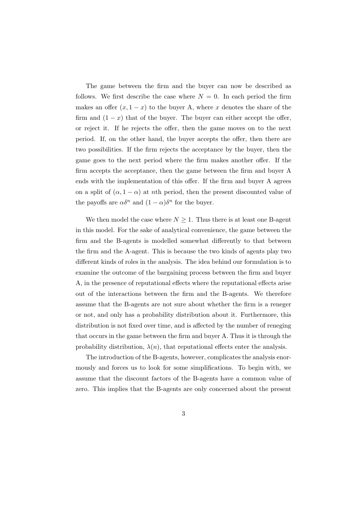The game between the firm and the buyer can now be described as follows. We first describe the case where  $N = 0$ . In each period the firm makes an offer  $(x, 1-x)$  to the buyer A, where x denotes the share of the firm and  $(1 - x)$  that of the buyer. The buyer can either accept the offer, or reject it. If he rejects the offer, then the game moves on to the next period. If, on the other hand, the buyer accepts the offer, then there are two possibilities. If the firm rejects the acceptance by the buyer, then the game goes to the next period where the firm makes another offer. If the firm accepts the acceptance, then the game between the firm and buyer A ends with the implementation of this offer. If the firm and buyer A agrees on a split of  $(\alpha, 1 - \alpha)$  at nth period, then the present discounted value of the payoffs are  $\alpha \delta^n$  and  $(1 - \alpha) \delta^n$  for the buyer.

We then model the case where  $N \geq 1$ . Thus there is at least one B-agent in this model. For the sake of analytical convenience, the game between the firm and the B-agents is modelled somewhat differently to that between the firm and the A-agent. This is because the two kinds of agents play two different kinds of roles in the analysis. The idea behind our formulation is to examine the outcome of the bargaining process between the firm and buyer A, in the presence of reputational effects where the reputational effects arise out of the interactions between the firm and the B-agents. We therefore assume that the B-agents are not sure about whether the firm is a reneger or not, and only has a probability distribution about it. Furthermore, this distribution is not fixed over time, and is affected by the number of reneging that occurs in the game between the firm and buyer A. Thus it is through the probability distribution,  $\lambda(n)$ , that reputational effects enter the analysis.

The introduction of the B-agents, however, complicates the analysis enormously and forces us to look for some simplifications. To begin with, we assume that the discount factors of the B-agents have a common value of zero. This implies that the B-agents are only concerned about the present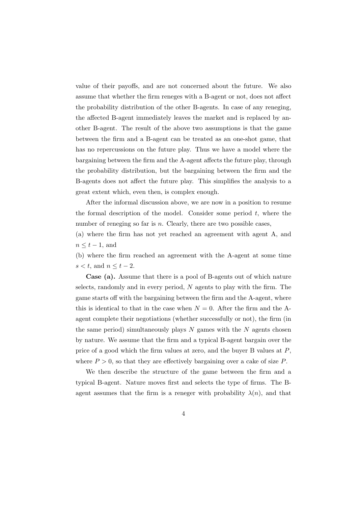value of their payoffs, and are not concerned about the future. We also assume that whether the firm reneges with a B-agent or not, does not affect the probability distribution of the other B-agents. In case of any reneging, the affected B-agent immediately leaves the market and is replaced by another B-agent. The result of the above two assumptions is that the game between the firm and a B-agent can be treated as an one-shot game, that has no repercussions on the future play. Thus we have a model where the bargaining between the firm and the A-agent affects the future play, through the probability distribution, but the bargaining between the firm and the B-agents does not affect the future play. This simplifies the analysis to a great extent which, even then, is complex enough.

After the informal discussion above, we are now in a position to resume the formal description of the model. Consider some period  $t$ , where the number of reneging so far is  $n$ . Clearly, there are two possible cases,

(a) where the firm has not yet reached an agreement with agent A, and  $n \leq t-1$ , and

(b) where the firm reached an agreement with the A-agent at some time  $s < t$ , and  $n \le t - 2$ .

Case (a). Assume that there is a pool of B-agents out of which nature selects, randomly and in every period, N agents to play with the firm. The game starts off with the bargaining between the firm and the A-agent, where this is identical to that in the case when  $N = 0$ . After the firm and the Aagent complete their negotiations (whether successfully or not), the firm (in the same period) simultaneously plays  $N$  games with the  $N$  agents chosen by nature. We assume that the firm and a typical B-agent bargain over the price of a good which the firm values at zero, and the buyer B values at P, where  $P > 0$ , so that they are effectively bargaining over a cake of size P.

We then describe the structure of the game between the firm and a typical B-agent. Nature moves first and selects the type of firms. The Bagent assumes that the firm is a reneger with probability  $\lambda(n)$ , and that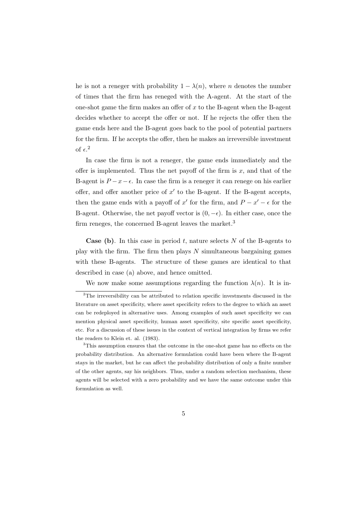he is not a reneger with probability  $1 - \lambda(n)$ , where *n* denotes the number of times that the firm has reneged with the A-agent. At the start of the one-shot game the firm makes an offer of  $x$  to the B-agent when the B-agent decides whether to accept the offer or not. If he rejects the offer then the game ends here and the B-agent goes back to the pool of potential partners for the firm. If he accepts the offer, then he makes an irreversible investment of  $\epsilon$ <sup>2</sup>

In case the firm is not a reneger, the game ends immediately and the offer is implemented. Thus the net payoff of the firm is  $x$ , and that of the B-agent is  $P - x - \epsilon$ . In case the firm is a reneger it can renege on his earlier offer, and offer another price of  $x'$  to the B-agent. If the B-agent accepts, then the game ends with a payoff of x' for the firm, and  $P - x' - \epsilon$  for the B-agent. Otherwise, the net payoff vector is  $(0, -\epsilon)$ . In either case, once the firm reneges, the concerned B-agent leaves the market.<sup>3</sup>

**Case** (b). In this case in period t, nature selects N of the B-agents to play with the firm. The firm then plays  $N$  simultaneous bargaining games with these B-agents. The structure of these games are identical to that described in case (a) above, and hence omitted.

We now make some assumptions regarding the function  $\lambda(n)$ . It is in-

<sup>&</sup>lt;sup>2</sup>The irreversibility can be attributed to relation specific investments discussed in the literature on asset specificity, where asset specificity refers to the degree to which an asset can be redeployed in alternative uses. Among examples of such asset specificity we can mention physical asset specificity, human asset specificity, site specific asset specificity, etc. For a discussion of these issues in the context of vertical integration by firms we refer the readers to Klein et. al. (1983).

<sup>&</sup>lt;sup>3</sup>This assumption ensures that the outcome in the one-shot game has no effects on the probability distribution. An alternative formulation could have been where the B-agent stays in the market, but he can affect the probability distribution of only a finite number of the other agents, say his neighbors. Thus, under a random selection mechanism, these agents will be selected with a zero probability and we have the same outcome under this formulation as well.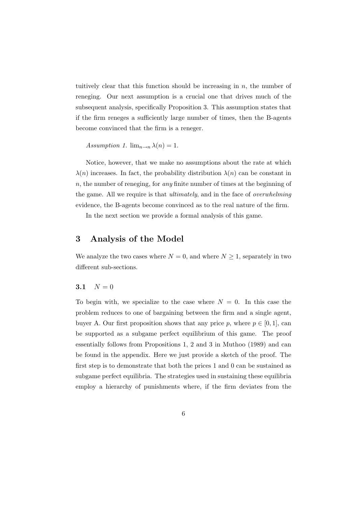tuitively clear that this function should be increasing in  $n$ , the number of reneging. Our next assumption is a crucial one that drives much of the subsequent analysis, specifically Proposition 3. This assumption states that if the firm reneges a sufficiently large number of times, then the B-agents become convinced that the firm is a reneger.

Assumption 1.  $\lim_{n\to n} \lambda(n) = 1$ .

Notice, however, that we make no assumptions about the rate at which  $\lambda(n)$  increases. In fact, the probability distribution  $\lambda(n)$  can be constant in  $n$ , the number of reneging, for *any* finite number of times at the beginning of the game. All we require is that ultimately, and in the face of overwhelming evidence, the B-agents become convinced as to the real nature of the firm.

In the next section we provide a formal analysis of this game.

#### 3 Analysis of the Model

We analyze the two cases where  $N = 0$ , and where  $N \geq 1$ , separately in two different sub-sections.

#### 3.1  $N = 0$

To begin with, we specialize to the case where  $N = 0$ . In this case the problem reduces to one of bargaining between the firm and a single agent, buyer A. Our first proposition shows that any price p, where  $p \in [0, 1]$ , can be supported as a subgame perfect equilibrium of this game. The proof essentially follows from Propositions 1, 2 and 3 in Muthoo (1989) and can be found in the appendix. Here we just provide a sketch of the proof. The first step is to demonstrate that both the prices 1 and 0 can be sustained as subgame perfect equilibria. The strategies used in sustaining these equilibria employ a hierarchy of punishments where, if the firm deviates from the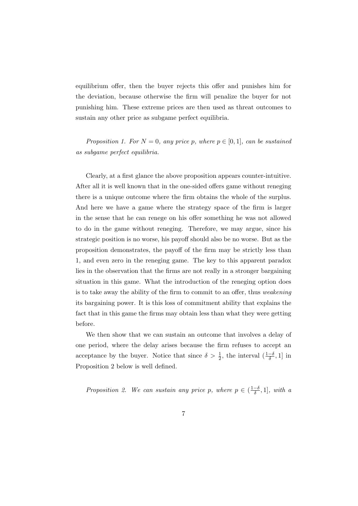equilibrium offer, then the buyer rejects this offer and punishes him for the deviation, because otherwise the firm will penalize the buyer for not punishing him. These extreme prices are then used as threat outcomes to sustain any other price as subgame perfect equilibria.

Proposition 1. For  $N = 0$ , any price p, where  $p \in [0, 1]$ , can be sustained as subgame perfect equilibria.

Clearly, at a first glance the above proposition appears counter-intuitive. After all it is well known that in the one-sided offers game without reneging there is a unique outcome where the firm obtains the whole of the surplus. And here we have a game where the strategy space of the firm is larger in the sense that he can renege on his offer something he was not allowed to do in the game without reneging. Therefore, we may argue, since his strategic position is no worse, his payoff should also be no worse. But as the proposition demonstrates, the payoff of the firm may be strictly less than 1, and even zero in the reneging game. The key to this apparent paradox lies in the observation that the firms are not really in a stronger bargaining situation in this game. What the introduction of the reneging option does is to take away the ability of the firm to commit to an offer, thus weakening its bargaining power. It is this loss of commitment ability that explains the fact that in this game the firms may obtain less than what they were getting before.

We then show that we can sustain an outcome that involves a delay of one period, where the delay arises because the firm refuses to accept an acceptance by the buyer. Notice that since  $\delta > \frac{1}{2}$ , the interval  $(\frac{1-\delta}{\delta}, 1]$  in Proposition 2 below is well defined.

Proposition 2. We can sustain any price p, where  $p \in (\frac{1-\delta}{\delta}, 1]$ , with a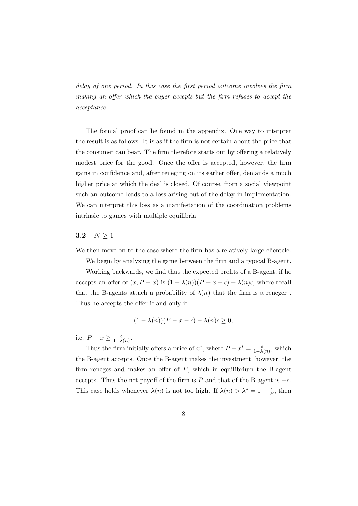delay of one period. In this case the first period outcome involves the firm making an offer which the buyer accepts but the firm refuses to accept the acceptance.

The formal proof can be found in the appendix. One way to interpret the result is as follows. It is as if the firm is not certain about the price that the consumer can bear. The firm therefore starts out by offering a relatively modest price for the good. Once the offer is accepted, however, the firm gains in confidence and, after reneging on its earlier offer, demands a much higher price at which the deal is closed. Of course, from a social viewpoint such an outcome leads to a loss arising out of the delay in implementation. We can interpret this loss as a manifestation of the coordination problems intrinsic to games with multiple equilibria.

#### 3.2  $N \ge 1$

We then move on to the case where the firm has a relatively large clientele.

We begin by analyzing the game between the firm and a typical B-agent. Working backwards, we find that the expected profits of a B-agent, if he accepts an offer of  $(x, P - x)$  is  $(1 - \lambda(n))(P - x - \epsilon) - \lambda(n)\epsilon$ , where recall that the B-agents attach a probability of  $\lambda(n)$  that the firm is a reneger. Thus he accepts the offer if and only if

$$
(1 - \lambda(n))(P - x - \epsilon) - \lambda(n)\epsilon \ge 0,
$$

i.e.  $P - x \geq \frac{\epsilon}{1 - \lambda(n)}$ .

Thus the firm initially offers a price of  $x^*$ , where  $P - x^* = \frac{\epsilon}{1 - \lambda(n)}$ , which the B-agent accepts. Once the B-agent makes the investment, however, the firm reneges and makes an offer of  $P$ , which in equilibrium the B-agent accepts. Thus the net payoff of the firm is P and that of the B-agent is  $-\epsilon$ . This case holds whenever  $\lambda(n)$  is not too high. If  $\lambda(n) > \lambda^* = 1 - \frac{\epsilon}{R}$  $\frac{\epsilon}{P}$ , then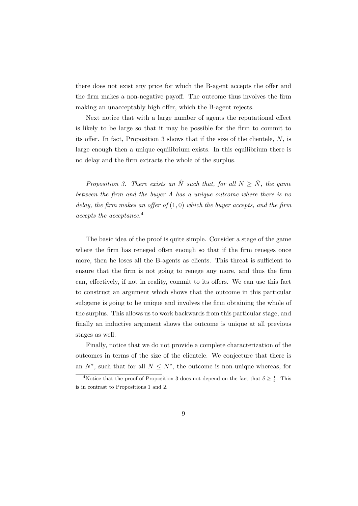there does not exist any price for which the B-agent accepts the offer and the firm makes a non-negative payoff. The outcome thus involves the firm making an unacceptably high offer, which the B-agent rejects.

Next notice that with a large number of agents the reputational effect is likely to be large so that it may be possible for the firm to commit to its offer. In fact, Proposition 3 shows that if the size of the clientele, N, is large enough then a unique equilibrium exists. In this equilibrium there is no delay and the firm extracts the whole of the surplus.

Proposition 3. There exists an  $\hat{N}$  such that, for all  $N \geq \hat{N}$ , the game between the firm and the buyer A has a unique outcome where there is no delay, the firm makes an offer of  $(1,0)$  which the buyer accepts, and the firm accepts the acceptance.<sup>4</sup>

The basic idea of the proof is quite simple. Consider a stage of the game where the firm has reneged often enough so that if the firm reneges once more, then he loses all the B-agents as clients. This threat is sufficient to ensure that the firm is not going to renege any more, and thus the firm can, effectively, if not in reality, commit to its offers. We can use this fact to construct an argument which shows that the outcome in this particular subgame is going to be unique and involves the firm obtaining the whole of the surplus. This allows us to work backwards from this particular stage, and finally an inductive argument shows the outcome is unique at all previous stages as well.

Finally, notice that we do not provide a complete characterization of the outcomes in terms of the size of the clientele. We conjecture that there is an  $N^*$ , such that for all  $N \leq N^*$ , the outcome is non-unique whereas, for

<sup>&</sup>lt;sup>4</sup>Notice that the proof of Proposition 3 does not depend on the fact that  $\delta \geq \frac{1}{2}$ . This is in contrast to Propositions 1 and 2.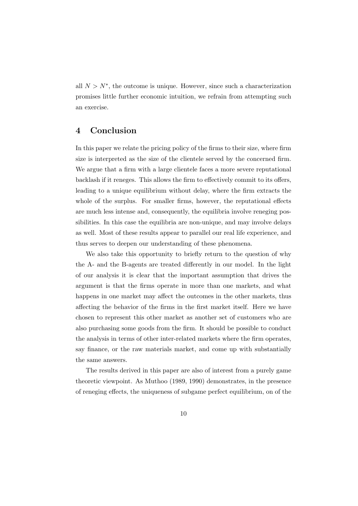all  $N > N^*$ , the outcome is unique. However, since such a characterization promises little further economic intuition, we refrain from attempting such an exercise.

## 4 Conclusion

In this paper we relate the pricing policy of the firms to their size, where firm size is interpreted as the size of the clientele served by the concerned firm. We argue that a firm with a large clientele faces a more severe reputational backlash if it reneges. This allows the firm to effectively commit to its offers, leading to a unique equilibrium without delay, where the firm extracts the whole of the surplus. For smaller firms, however, the reputational effects are much less intense and, consequently, the equilibria involve reneging possibilities. In this case the equilibria are non-unique, and may involve delays as well. Most of these results appear to parallel our real life experience, and thus serves to deepen our understanding of these phenomena.

We also take this opportunity to briefly return to the question of why the A- and the B-agents are treated differently in our model. In the light of our analysis it is clear that the important assumption that drives the argument is that the firms operate in more than one markets, and what happens in one market may affect the outcomes in the other markets, thus affecting the behavior of the firms in the first market itself. Here we have chosen to represent this other market as another set of customers who are also purchasing some goods from the firm. It should be possible to conduct the analysis in terms of other inter-related markets where the firm operates, say finance, or the raw materials market, and come up with substantially the same answers.

The results derived in this paper are also of interest from a purely game theoretic viewpoint. As Muthoo (1989, 1990) demonstrates, in the presence of reneging effects, the uniqueness of subgame perfect equilibrium, on of the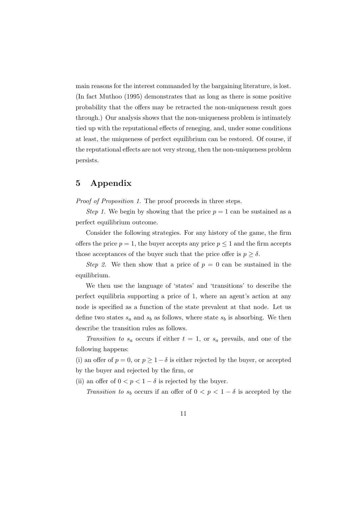main reasons for the interest commanded by the bargaining literature, is lost. (In fact Muthoo (1995) demonstrates that as long as there is some positive probability that the offers may be retracted the non-uniqueness result goes through.) Our analysis shows that the non-uniqueness problem is intimately tied up with the reputational effects of reneging, and, under some conditions at least, the uniqueness of perfect equilibrium can be restored. Of course, if the reputational effects are not very strong, then the non-uniqueness problem persists.

## 5 Appendix

Proof of Proposition 1. The proof proceeds in three steps.

Step 1. We begin by showing that the price  $p = 1$  can be sustained as a perfect equilibrium outcome.

Consider the following strategies. For any history of the game, the firm offers the price  $p = 1$ , the buyer accepts any price  $p \leq 1$  and the firm accepts those acceptances of the buyer such that the price offer is  $p \geq \delta$ .

Step 2. We then show that a price of  $p = 0$  can be sustained in the equilibrium.

We then use the language of 'states' and 'transitions' to describe the perfect equilibria supporting a price of 1, where an agent's action at any node is specified as a function of the state prevalent at that node. Let us define two states  $s_a$  and  $s_b$  as follows, where state  $s_b$  is absorbing. We then describe the transition rules as follows.

Transition to  $s_a$  occurs if either  $t = 1$ , or  $s_a$  prevails, and one of the following happens:

(i) an offer of  $p = 0$ , or  $p \ge 1-\delta$  is either rejected by the buyer, or accepted by the buyer and rejected by the firm, or

(ii) an offer of  $0 < p < 1 - \delta$  is rejected by the buyer.

Transition to  $s_b$  occurs if an offer of  $0 < p < 1 - \delta$  is accepted by the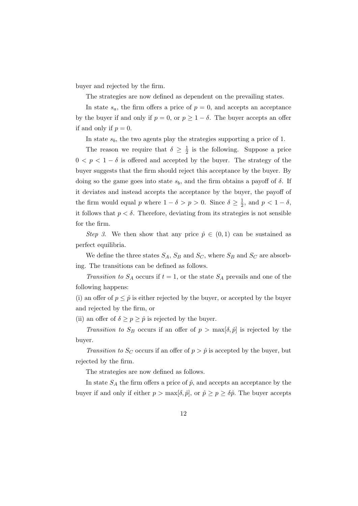buyer and rejected by the firm.

The strategies are now defined as dependent on the prevailing states.

In state  $s_a$ , the firm offers a price of  $p = 0$ , and accepts an acceptance by the buyer if and only if  $p = 0$ , or  $p \ge 1 - \delta$ . The buyer accepts an offer if and only if  $p = 0$ .

In state  $s_b$ , the two agents play the strategies supporting a price of 1.

The reason we require that  $\delta \geq \frac{1}{2}$  $\frac{1}{2}$  is the following. Suppose a price  $0 < p < 1-\delta$  is offered and accepted by the buyer. The strategy of the buyer suggests that the firm should reject this acceptance by the buyer. By doing so the game goes into state  $s<sub>b</sub>$ , and the firm obtains a payoff of  $\delta$ . If it deviates and instead accepts the acceptance by the buyer, the payoff of the firm would equal p where  $1 - \delta > p > 0$ . Since  $\delta \geq \frac{1}{2}$  $\frac{1}{2}$ , and  $p < 1 - \delta$ , it follows that  $p < \delta$ . Therefore, deviating from its strategies is not sensible for the firm.

Step 3. We then show that any price  $\hat{p} \in (0,1)$  can be sustained as perfect equilibria.

We define the three states  $S_A$ ,  $S_B$  and  $S_C$ , where  $S_B$  and  $S_C$  are absorbing. The transitions can be defined as follows.

Transition to  $S_A$  occurs if  $t = 1$ , or the state  $S_A$  prevails and one of the following happens:

(i) an offer of  $p \leq \hat{p}$  is either rejected by the buyer, or accepted by the buyer and rejected by the firm, or

(ii) an offer of  $\delta \geq p \geq \hat{p}$  is rejected by the buyer.

Transition to  $S_B$  occurs if an offer of  $p > \max[\delta, \hat{p}]$  is rejected by the buyer.

Transition to  $S_C$  occurs if an offer of  $p > \hat{p}$  is accepted by the buyer, but rejected by the firm.

The strategies are now defined as follows.

In state  $S_A$  the firm offers a price of  $\hat{p}$ , and accepts an acceptance by the buyer if and only if either  $p > \max[\delta, \hat{p}]$ , or  $\hat{p} \ge p \ge \delta \hat{p}$ . The buyer accepts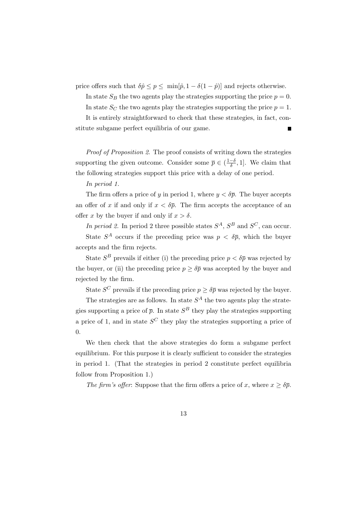price offers such that  $\delta \hat{p} \leq p \leq \min[\hat{p}, 1 - \delta(1 - \hat{p})]$  and rejects otherwise.

In state  $S_B$  the two agents play the strategies supporting the price  $p = 0$ . In state  $S_C$  the two agents play the strategies supporting the price  $p = 1$ . It is entirely straightforward to check that these strategies, in fact, constitute subgame perfect equilibria of our game.

Proof of Proposition 2. The proof consists of writing down the strategies supporting the given outcome. Consider some  $\bar{p} \in (\frac{1-\delta}{\delta}, 1]$ . We claim that the following strategies support this price with a delay of one period.

In period 1.

The firm offers a price of y in period 1, where  $y < \delta \bar{p}$ . The buyer accepts an offer of x if and only if  $x < \delta \bar{p}$ . The firm accepts the acceptance of an offer x by the buyer if and only if  $x > \delta$ .

In period 2. In period 2 three possible states  $S^A$ ,  $S^B$  and  $S^C$ , can occur.

State  $S^A$  occurs if the preceding price was  $p < \delta \bar{p}$ , which the buyer accepts and the firm rejects.

State  $S^B$  prevails if either (i) the preceding price  $p < \delta \bar{p}$  was rejected by the buyer, or (ii) the preceding price  $p \geq \delta \overline{p}$  was accepted by the buyer and rejected by the firm.

State  $S^C$  prevails if the preceding price  $p \geq \delta \bar{p}$  was rejected by the buyer.

The strategies are as follows. In state  $S<sup>A</sup>$  the two agents play the strategies supporting a price of  $\bar{p}$ . In state  $S^B$  they play the strategies supporting a price of 1, and in state  $S^C$  they play the strategies supporting a price of 0.

We then check that the above strategies do form a subgame perfect equilibrium. For this purpose it is clearly sufficient to consider the strategies in period 1. (That the strategies in period 2 constitute perfect equilibria follow from Proposition 1.)

The firm's offer: Suppose that the firm offers a price of x, where  $x \geq \delta \bar{p}$ .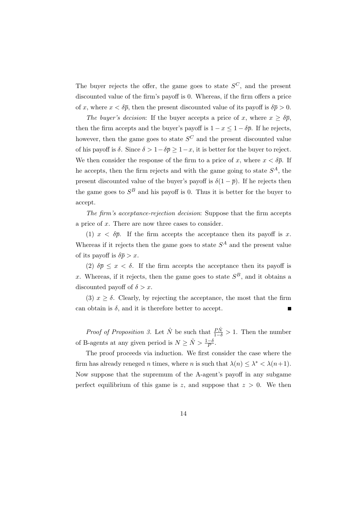The buyer rejects the offer, the game goes to state  $S^C$ , and the present discounted value of the firm's payoff is 0. Whereas, if the firm offers a price of x, where  $x < \delta \bar{p}$ , then the present discounted value of its payoff is  $\delta \bar{p} > 0$ .

The buyer's decision: If the buyer accepts a price of x, where  $x \geq \delta \bar{p}$ , then the firm accepts and the buyer's payoff is  $1 - x \leq 1 - \delta \bar{p}$ . If he rejects, however, then the game goes to state  $S^C$  and the present discounted value of his payoff is  $\delta$ . Since  $\delta > 1-\delta\overline{p} \geq 1-x$ , it is better for the buyer to reject. We then consider the response of the firm to a price of x, where  $x < \delta \bar{p}$ . If he accepts, then the firm rejects and with the game going to state  $S<sup>A</sup>$ , the present discounted value of the buyer's payoff is  $\delta(1-\bar{p})$ . If he rejects then the game goes to  $S^B$  and his payoff is 0. Thus it is better for the buyer to accept.

The firm's acceptance-rejection decision: Suppose that the firm accepts a price of x. There are now three cases to consider.

(1)  $x < \delta \bar{p}$ . If the firm accepts the acceptance then its payoff is x. Whereas if it rejects then the game goes to state  $S^A$  and the present value of its payoff is  $\delta \overline{p} > x$ .

(2)  $\delta \bar{p} \leq x < \delta$ . If the firm accepts the acceptance then its payoff is x. Whereas, if it rejects, then the game goes to state  $S^B$ , and it obtains a discounted payoff of  $\delta > x$ .

(3)  $x \geq \delta$ . Clearly, by rejecting the acceptance, the most that the firm can obtain is  $\delta$ , and it is therefore better to accept. Г

*Proof of Proposition 3.* Let  $\hat{N}$  be such that  $\frac{\hat{P}\hat{N}}{1-\delta} > 1$ . Then the number of B-agents at any given period is  $N \geq \hat{N} > \frac{1-\delta}{P}$ .

The proof proceeds via induction. We first consider the case where the firm has already reneged *n* times, where *n* is such that  $\lambda(n) \leq \lambda^* < \lambda(n+1)$ . Now suppose that the supremum of the A-agent's payoff in any subgame perfect equilibrium of this game is z, and suppose that  $z > 0$ . We then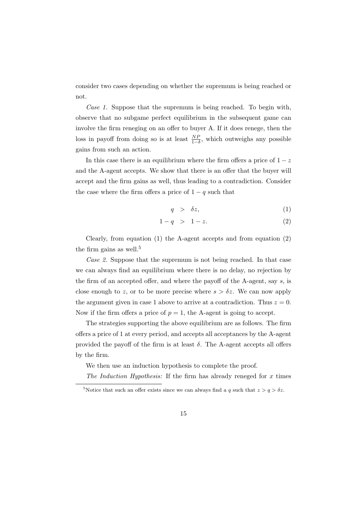consider two cases depending on whether the supremum is being reached or not.

Case 1. Suppose that the supremum is being reached. To begin with, observe that no subgame perfect equilibrium in the subsequent game can involve the firm reneging on an offer to buyer A. If it does renege, then the loss in payoff from doing so is at least  $\frac{NP}{1-\delta}$ , which outweighs any possible gains from such an action.

In this case there is an equilibrium where the firm offers a price of  $1 - z$ and the A-agent accepts. We show that there is an offer that the buyer will accept and the firm gains as well, thus leading to a contradiction. Consider the case where the firm offers a price of  $1 - q$  such that

$$
q > \delta z, \tag{1}
$$

$$
1 - q \quad > \quad 1 - z. \tag{2}
$$

Clearly, from equation (1) the A-agent accepts and from equation (2) the firm gains as well.<sup>5</sup>

Case 2. Suppose that the supremum is not being reached. In that case we can always find an equilibrium where there is no delay, no rejection by the firm of an accepted offer, and where the payoff of the A-agent, say  $s$ , is close enough to z, or to be more precise where  $s > \delta z$ . We can now apply the argument given in case 1 above to arrive at a contradiction. Thus  $z = 0$ . Now if the firm offers a price of  $p = 1$ , the A-agent is going to accept.

The strategies supporting the above equilibrium are as follows. The firm offers a price of 1 at every period, and accepts all acceptances by the A-agent provided the payoff of the firm is at least  $\delta$ . The A-agent accepts all offers by the firm.

We then use an induction hypothesis to complete the proof.

The Induction Hypothesis: If the firm has already reneged for  $x$  times

<sup>&</sup>lt;sup>5</sup>Notice that such an offer exists since we can always find a q such that  $z > q > \delta z$ .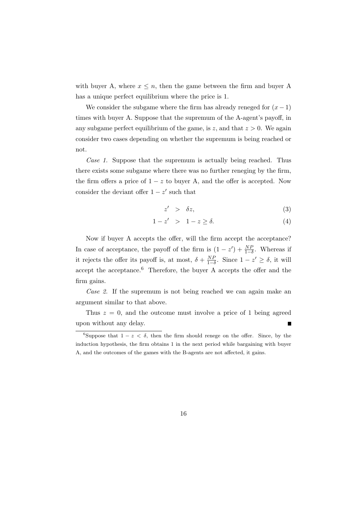with buyer A, where  $x \leq n$ , then the game between the firm and buyer A has a unique perfect equilibrium where the price is 1.

We consider the subgame where the firm has already reneged for  $(x - 1)$ times with buyer A. Suppose that the supremum of the A-agent's payoff, in any subgame perfect equilibrium of the game, is z, and that  $z > 0$ . We again consider two cases depending on whether the supremum is being reached or not.

Case 1. Suppose that the supremum is actually being reached. Thus there exists some subgame where there was no further reneging by the firm, the firm offers a price of  $1 - z$  to buyer A, and the offer is accepted. Now consider the deviant offer  $1 - z'$  such that

$$
z' > \delta z, \tag{3}
$$

$$
1 - z' > 1 - z \ge \delta. \tag{4}
$$

Now if buyer A accepts the offer, will the firm accept the acceptance? In case of acceptance, the payoff of the firm is  $(1 - z') + \frac{NP}{1-\delta}$ . Whereas if it rejects the offer its payoff is, at most,  $\delta + \frac{NP}{1-\delta}$ . Since  $1 - z' \ge \delta$ , it will accept the acceptance.<sup>6</sup> Therefore, the buyer A accepts the offer and the firm gains.

Case 2. If the supremum is not being reached we can again make an argument similar to that above.

Thus  $z = 0$ , and the outcome must involve a price of 1 being agreed upon without any delay. Г

<sup>&</sup>lt;sup>6</sup>Suppose that  $1 - z < \delta$ , then the firm should renege on the offer. Since, by the induction hypothesis, the firm obtains 1 in the next period while bargaining with buyer A, and the outcomes of the games with the B-agents are not affected, it gains.